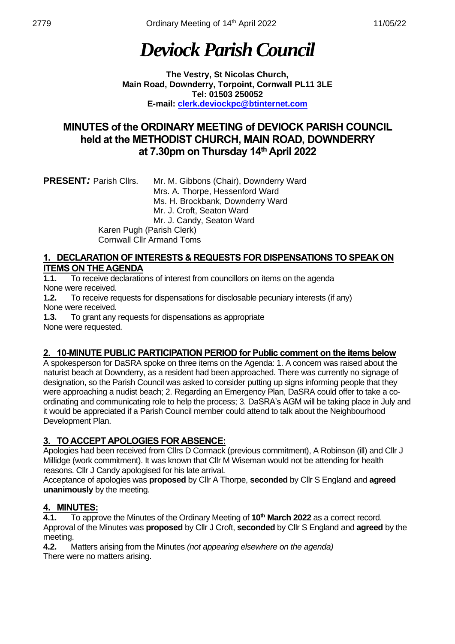# *Deviock Parish Council*

**The Vestry, St Nicolas Church, Main Road, Downderry, Torpoint, Cornwall PL11 3LE Tel: 01503 250052 E-mail: [clerk.deviockpc@btinternet.com](mailto:clerk.deviockpc@btinternet.com)**

## **MINUTES of the ORDINARY MEETING of DEVIOCK PARISH COUNCIL held at the METHODIST CHURCH, MAIN ROAD, DOWNDERRY at 7.30pm on Thursday 14 th April 2022**

| <b>PRESENT: Parish Cllrs.</b> | Mr. M. Gibbons (Chair), Downderry Ward |
|-------------------------------|----------------------------------------|
|                               | Mrs. A. Thorpe, Hessenford Ward        |
|                               | Ms. H. Brockbank, Downderry Ward       |
|                               | Mr. J. Croft, Seaton Ward              |
|                               | Mr. J. Candy, Seaton Ward              |
| Karen Pugh (Parish Clerk)     |                                        |
|                               | <b>Cornwall Cllr Armand Toms</b>       |

#### **1. DECLARATION OF INTERESTS & REQUESTS FOR DISPENSATIONS TO SPEAK ON ITEMS ON THE AGENDA**

**1.1.** To receive declarations of interest from councillors on items on the agenda None were received.

**1.2.** To receive requests for dispensations for disclosable pecuniary interests (if any) None were received.

**1.3.** To grant any requests for dispensations as appropriate None were requested.

## **2. 10-MINUTE PUBLIC PARTICIPATION PERIOD for Public comment on the items below**

A spokesperson for DaSRA spoke on three items on the Agenda: 1. A concern was raised about the naturist beach at Downderry, as a resident had been approached. There was currently no signage of designation, so the Parish Council was asked to consider putting up signs informing people that they were approaching a nudist beach; 2. Regarding an Emergency Plan, DaSRA could offer to take a coordinating and communicating role to help the process; 3. DaSRA's AGM will be taking place in July and it would be appreciated if a Parish Council member could attend to talk about the Neighbourhood Development Plan.

## **3. TO ACCEPT APOLOGIES FOR ABSENCE:**

Apologies had been received from Cllrs D Cormack (previous commitment), A Robinson (ill) and Cllr J Millidge (work commitment). It was known that Cllr M Wiseman would not be attending for health reasons. Cllr J Candy apologised for his late arrival.

Acceptance of apologies was **proposed** by Cllr A Thorpe, **seconded** by Cllr S England and **agreed unanimously** by the meeting.

## **4. MINUTES:**

**4.1.** To approve the Minutes of the Ordinary Meeting of **10 th March 2022** as a correct record. Approval of the Minutes was **proposed** by Cllr J Croft, **seconded** by Cllr S England and **agreed** by the meeting.

**4.2.** Matters arising from the Minutes *(not appearing elsewhere on the agenda)* There were no matters arising.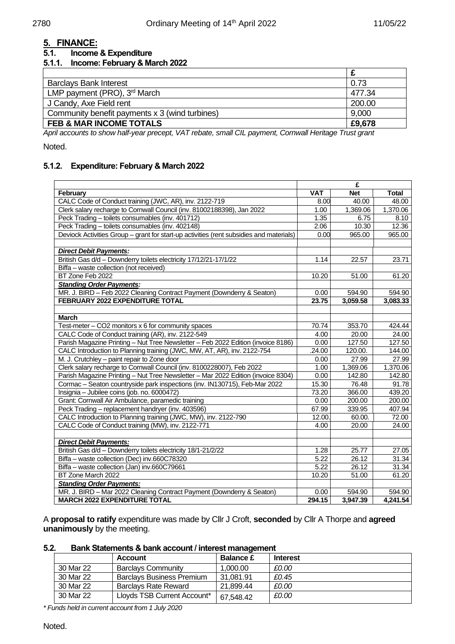## **5. FINANCE:**

#### **5.1. Income & Expenditure**

#### **5.1.1. Income: February & March 2022**

| <b>Barclays Bank Interest</b>                  | 0.73   |
|------------------------------------------------|--------|
| LMP payment (PRO), 3 <sup>rd</sup> March       | 477.34 |
| J Candy, Axe Field rent                        | 200.00 |
| Community benefit payments x 3 (wind turbines) | 9,000  |
| <b>FEB &amp; MAR INCOME TOTALS</b>             | £9,678 |
|                                                |        |

*April accounts to show half-year precept, VAT rebate, small CIL payment, Cornwall Heritage Trust grant*

#### Noted.

#### **5.1.2. Expenditure: February & March 2022**

|                                                                                         | £            |            |              |
|-----------------------------------------------------------------------------------------|--------------|------------|--------------|
| February                                                                                | <b>VAT</b>   | <b>Net</b> | <b>Total</b> |
| CALC Code of Conduct training (JWC, AR), inv. 2122-719                                  | 8.00         | 40.00      | 48.00        |
| Clerk salary recharge to Cornwall Council (inv. 81002188398), Jan 2022                  | 1.00         | 1,369.06   | 1,370.06     |
| Peck Trading - toilets consumables (inv. 401712)                                        | 1.35         | 6.75       | 8.10         |
| Peck Trading - toilets consumables (inv. 402148)                                        | 2.06         | 10.30      | 12.36        |
| Deviock Activities Group - grant for start-up activities (rent subsidies and materials) | 0.00         | 965.00     | 965.00       |
|                                                                                         |              |            |              |
| <b>Direct Debit Payments:</b>                                                           |              |            |              |
| British Gas d/d - Downderry toilets electricity 17/12/21-17/1/22                        | 1.14         | 22.57      | 23.71        |
| Biffa - waste collection (not received)                                                 |              |            |              |
| BT Zone Feb 2022                                                                        | 10.20        | 51.00      | 61.20        |
| <b>Standing Order Payments:</b>                                                         |              |            |              |
| MR. J. BIRD - Feb 2022 Cleaning Contract Payment (Downderry & Seaton)                   | 0.00         | 594.90     | 594.90       |
| FEBRUARY 2022 EXPENDITURE TOTAL                                                         | 23.75        | 3,059.58   | 3,083.33     |
|                                                                                         |              |            |              |
| <b>March</b>                                                                            |              |            |              |
| Test-meter - CO2 monitors x 6 for community spaces                                      | 70.74        | 353.70     | 424.44       |
| CALC Code of Conduct training (AR), inv. 2122-549                                       | 4.00         | 20.00      | 24.00        |
| Parish Magazine Printing - Nut Tree Newsletter - Feb 2022 Edition (invoice 8186)        | 0.00         | 127.50     | 127.50       |
| CALC Introduction to Planning training (JWC, MW, AT, AR), inv. 2122-754                 | .24.00       | 120.00.    | 144.00       |
| M. J. Crutchley - paint repair to Zone door                                             | 0.00         | 27.99      | 27.99        |
| Clerk salary recharge to Cornwall Council (inv. 8100228007), Feb 2022                   | 1.00<br>0.00 | 1,369.06   | 1,370.06     |
| Parish Magazine Printing - Nut Tree Newsletter - Mar 2022 Edition (invoice 8304)        |              | 142.80     | 142.80       |
| Cormac - Seaton countryside park inspections (inv. IN130715), Feb-Mar 2022              | 15.30        | 76.48      | 91.78        |
| Insignia - Jubilee coins (job. no. 6000472)                                             | 73.20        | 366.00     | 439.20       |
| Grant: Cornwall Air Ambulance, paramedic training                                       | 0.00         | 200.00     | 200.00       |
| Peck Trading - replacement handryer (inv. 403596)                                       | 67.99        | 339.95     | 407.94       |
| CALC Introduction to Planning training (JWC, MW), inv. 2122-790                         | 12.00        | 60.00.     | 72.00        |
| CALC Code of Conduct training (MW), inv. 2122-771                                       | 4.00         | 20.00      | 24.00        |
|                                                                                         |              |            |              |
| <b>Direct Debit Payments:</b>                                                           |              |            |              |
| British Gas d/d - Downderry toilets electricity 18/1-21/2/22                            | 1.28<br>5.22 | 25.77      | 27.05        |
| Biffa - waste collection (Dec) inv.660C78320                                            |              | 26.12      | 31.34        |
| Biffa - waste collection (Jan) inv.660C79661                                            |              | 26.12      | 31.34        |
| BT Zone March 2022                                                                      | 10.20        | 51.00      | 61.20        |
| <b>Standing Order Payments:</b>                                                         |              |            |              |
| MR. J. BIRD - Mar 2022 Cleaning Contract Payment (Downderry & Seaton)                   |              | 594.90     | 594.90       |
| <b>MARCH 2022 EXPENDITURE TOTAL</b>                                                     | 294.15       | 3,947.39   | 4,241.54     |

A **proposal to ratify** expenditure was made by Cllr J Croft, **seconded** by Cllr A Thorpe and **agreed unanimously** by the meeting.

#### **5.2. Bank Statements & bank account / interest management**

|           | <b>Account</b>                   | <b>Balance £</b> | <b>Interest</b> |
|-----------|----------------------------------|------------------|-----------------|
| 30 Mar 22 | <b>Barclavs Community</b>        | 1.000.00         | £0.00           |
| 30 Mar 22 | <b>Barclays Business Premium</b> | 31.081.91        | £0.45           |
| 30 Mar 22 | <b>Barclavs Rate Reward</b>      | 21,899.44        | £0.00           |
| 30 Mar 22 | Lloyds TSB Current Account*      | 67,548.42        | £0.00           |

*\* Funds held in current account from 1 July 2020*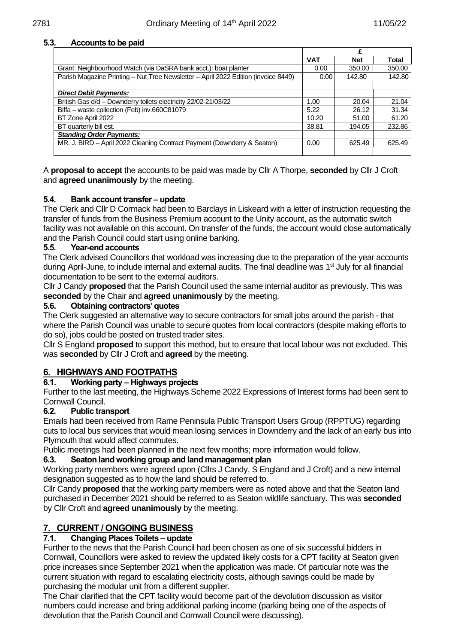#### **5.3. Accounts to be paid**

|                                                                                    | £          |            |              |
|------------------------------------------------------------------------------------|------------|------------|--------------|
|                                                                                    | <b>VAT</b> | <b>Net</b> | <b>Total</b> |
| Grant: Neighbourhood Watch (via DaSRA bank acct.): boat planter                    |            | 350.00     | 350.00       |
| Parish Magazine Printing - Nut Tree Newsletter - April 2022 Edition (invoice 8449) | 0.00       | 142.80     | 142.80       |
|                                                                                    |            |            |              |
| <b>Direct Debit Payments:</b>                                                      |            |            |              |
| British Gas d/d - Downderry toilets electricity 22/02-21/03/22                     | 1.00       | 20.04      | 21.04        |
| Biffa - waste collection (Feb) inv.660C81079                                       | 5.22       | 26.12      | 31.34        |
| BT Zone April 2022                                                                 | 10.20      | 51.00      | 61.20        |
| BT quarterly bill est.                                                             | 38.81      | 194.05     | 232.86       |
| <b>Standing Order Payments:</b>                                                    |            |            |              |
| MR. J. BIRD - April 2022 Cleaning Contract Payment (Downderry & Seaton)            | 0.00       | 625.49     | 625.49       |
|                                                                                    |            |            |              |

A **proposal to accept** the accounts to be paid was made by Cllr A Thorpe, **seconded** by Cllr J Croft and **agreed unanimously** by the meeting.

#### **5.4. Bank account transfer – update**

The Clerk and Cllr D Cormack had been to Barclays in Liskeard with a letter of instruction requesting the transfer of funds from the Business Premium account to the Unity account, as the automatic switch facility was not available on this account. On transfer of the funds, the account would close automatically and the Parish Council could start using online banking.

#### **5.5. Year-end accounts**

The Clerk advised Councillors that workload was increasing due to the preparation of the year accounts during April-June, to include internal and external audits. The final deadline was 1<sup>st</sup> July for all financial documentation to be sent to the external auditors.

Cllr J Candy **proposed** that the Parish Council used the same internal auditor as previously. This was **seconded** by the Chair and **agreed unanimously** by the meeting.

#### **5.6. Obtaining contractors' quotes**

The Clerk suggested an alternative way to secure contractors for small jobs around the parish - that where the Parish Council was unable to secure quotes from local contractors (despite making efforts to do so), jobs could be posted on trusted trader sites.

Cllr S England **proposed** to support this method, but to ensure that local labour was not excluded. This was **seconded** by Cllr J Croft and **agreed** by the meeting.

#### **6. HIGHWAYS AND FOOTPATHS**

#### **6.1. Working party – Highways projects**

Further to the last meeting, the Highways Scheme 2022 Expressions of Interest forms had been sent to Cornwall Council.

#### **6.2. Public transport**

Emails had been received from Rame Peninsula Public Transport Users Group (RPPTUG) regarding cuts to local bus services that would mean losing services in Downderry and the lack of an early bus into Plymouth that would affect commutes.

Public meetings had been planned in the next few months; more information would follow.

#### **6.3. Seaton land working group and land management plan**

Working party members were agreed upon (Cllrs J Candy, S England and J Croft) and a new internal designation suggested as to how the land should be referred to.

Cllr Candy **proposed** that the working party members were as noted above and that the Seaton land purchased in December 2021 should be referred to as Seaton wildlife sanctuary. This was **seconded** by Cllr Croft and **agreed unanimously** by the meeting.

## **7. CURRENT / ONGOING BUSINESS**

#### **7.1. Changing Places Toilets – update**

Further to the news that the Parish Council had been chosen as one of six successful bidders in Cornwall, Councillors were asked to review the updated likely costs for a CPT facility at Seaton given price increases since September 2021 when the application was made. Of particular note was the current situation with regard to escalating electricity costs, although savings could be made by purchasing the modular unit from a different supplier.

The Chair clarified that the CPT facility would become part of the devolution discussion as visitor numbers could increase and bring additional parking income (parking being one of the aspects of devolution that the Parish Council and Cornwall Council were discussing).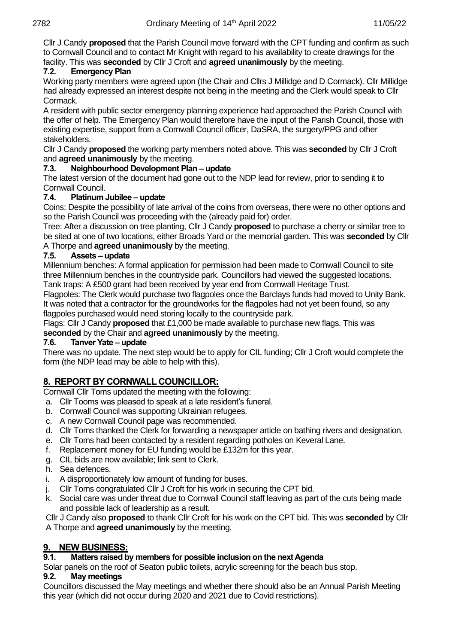Cllr J Candy **proposed** that the Parish Council move forward with the CPT funding and confirm as such to Cornwall Council and to contact Mr Knight with regard to his availability to create drawings for the facility. This was **seconded** by Cllr J Croft and **agreed unanimously** by the meeting.

### **7.2. Emergency Plan**

Working party members were agreed upon (the Chair and Cllrs J Millidge and D Cormack). Cllr Millidge had already expressed an interest despite not being in the meeting and the Clerk would speak to Cllr Cormack.

A resident with public sector emergency planning experience had approached the Parish Council with the offer of help. The Emergency Plan would therefore have the input of the Parish Council, those with existing expertise, support from a Cornwall Council officer, DaSRA, the surgery/PPG and other stakeholders.

Cllr J Candy **proposed** the working party members noted above. This was **seconded** by Cllr J Croft and **agreed unanimously** by the meeting.

### **7.3. Neighbourhood Development Plan – update**

The latest version of the document had gone out to the NDP lead for review, prior to sending it to Cornwall Council.

#### **7.4. Platinum Jubilee – update**

Coins: Despite the possibility of late arrival of the coins from overseas, there were no other options and so the Parish Council was proceeding with the (already paid for) order.

Tree: After a discussion on tree planting, Cllr J Candy **proposed** to purchase a cherry or similar tree to be sited at one of two locations, either Broads Yard or the memorial garden. This was **seconded** by Cllr A Thorpe and **agreed unanimously** by the meeting.

#### **7.5. Assets – update**

Millennium benches: A formal application for permission had been made to Cornwall Council to site three Millennium benches in the countryside park. Councillors had viewed the suggested locations. Tank traps: A £500 grant had been received by year end from Cornwall Heritage Trust.

Flagpoles: The Clerk would purchase two flagpoles once the Barclays funds had moved to Unity Bank. It was noted that a contractor for the groundworks for the flagpoles had not yet been found, so any flagpoles purchased would need storing locally to the countryside park.

Flags: Cllr J Candy **proposed** that £1,000 be made available to purchase new flags. This was

#### **seconded** by the Chair and **agreed unanimously** by the meeting.

#### **7.6. Tanver Yate – update**

There was no update. The next step would be to apply for CIL funding; Cllr J Croft would complete the form (the NDP lead may be able to help with this).

## **8. REPORT BY CORNWALL COUNCILLOR:**

Cornwall Cllr Toms updated the meeting with the following:

- a. Cllr Tooms was pleased to speak at a late resident's funeral.
- b. Cornwall Council was supporting Ukrainian refugees.
- c. A new Cornwall Council page was recommended.
- d. Cllr Toms thanked the Clerk for forwarding a newspaper article on bathing rivers and designation.
- e. Cllr Toms had been contacted by a resident regarding potholes on Keveral Lane.
- f. Replacement money for EU funding would be £132m for this year.
- g. CIL bids are now available; link sent to Clerk.
- h. Sea defences.
- 
- i. A disproportionately low amount of funding for buses.<br>j. Cllr Toms congratulated Cllr J Croft for his work in sec Cllr Toms congratulated Cllr J Croft for his work in securing the CPT bid.
- k. Social care was under threat due to Cornwall Council staff leaving as part of the cuts being made and possible lack of leadership as a result.

Cllr J Candy also **proposed** to thank Cllr Croft for his work on the CPT bid. This was **seconded** by Cllr A Thorpe and **agreed unanimously** by the meeting.

#### **9. NEW BUSINESS:**

#### **9.1. Matters raised by members for possible inclusion on the next Agenda**

Solar panels on the roof of Seaton public toilets, acrylic screening for the beach bus stop.

#### **9.2. May meetings**

Councillors discussed the May meetings and whether there should also be an Annual Parish Meeting this year (which did not occur during 2020 and 2021 due to Covid restrictions).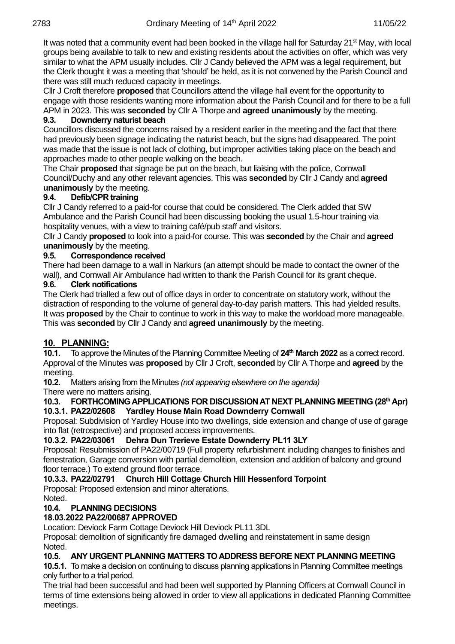It was noted that a community event had been booked in the village hall for Saturday 21<sup>st</sup> May, with local groups being available to talk to new and existing residents about the activities on offer, which was very similar to what the APM usually includes. Cllr J Candy believed the APM was a legal requirement, but the Clerk thought it was a meeting that 'should' be held, as it is not convened by the Parish Council and there was still much reduced capacity in meetings.

Cllr J Croft therefore **proposed** that Councillors attend the village hall event for the opportunity to engage with those residents wanting more information about the Parish Council and for there to be a full APM in 2023. This was **seconded** by Cllr A Thorpe and **agreed unanimously** by the meeting.

#### **9.3. Downderry naturist beach**

Councillors discussed the concerns raised by a resident earlier in the meeting and the fact that there had previously been signage indicating the naturist beach, but the signs had disappeared. The point was made that the issue is not lack of clothing, but improper activities taking place on the beach and approaches made to other people walking on the beach.

The Chair **proposed** that signage be put on the beach, but liaising with the police, Cornwall Council/Duchy and any other relevant agencies. This was **seconded** by Cllr J Candy and **agreed unanimously** by the meeting.

### **9.4. Defib/CPR training**

Cllr J Candy referred to a paid-for course that could be considered. The Clerk added that SW Ambulance and the Parish Council had been discussing booking the usual 1.5-hour training via hospitality venues, with a view to training café/pub staff and visitors.

Cllr J Candy **proposed** to look into a paid-for course. This was **seconded** by the Chair and **agreed unanimously** by the meeting.

#### **9.5. Correspondence received**

There had been damage to a wall in Narkurs (an attempt should be made to contact the owner of the wall), and Cornwall Air Ambulance had written to thank the Parish Council for its grant cheque.

#### **9.6. Clerk notifications**

The Clerk had trialled a few out of office days in order to concentrate on statutory work, without the distraction of responding to the volume of general day-to-day parish matters. This had yielded results. It was **proposed** by the Chair to continue to work in this way to make the workload more manageable. This was **seconded** by Cllr J Candy and **agreed unanimously** by the meeting.

## **10. PLANNING:**

**10.1.** To approve the Minutes of the Planning Committee Meeting of **24th March 2022** as a correct record. Approval of the Minutes was **proposed** by Cllr J Croft, **seconded** by Cllr A Thorpe and **agreed** by the meeting.

**10.2.** Matters arising from the Minutes *(not appearing elsewhere on the agenda)*

There were no matters arising.

#### 10.3. FORTHCOMING APPLICATIONS FOR DISCUSSION AT NEXT PLANNING MEETING (28<sup>th</sup> Apr) **10.3.1. PA22/02608 Yardley House Main Road Downderry Cornwall**

Proposal: Subdivision of Yardley House into two dwellings, side extension and change of use of garage into flat (retrospective) and proposed access improvements.

#### **10.3.2. PA22/03061 Dehra Dun Trerieve Estate Downderry PL11 3LY**

Proposal: Resubmission of PA22/00719 (Full property refurbishment including changes to finishes and fenestration, Garage conversion with partial demolition, extension and addition of balcony and ground floor terrace.) To extend ground floor terrace.

## **10.3.3. PA22/02791 Church Hill Cottage Church Hill Hessenford Torpoint**

Proposal: Proposed extension and minor alterations.

## Noted.

## **10.4. PLANNING DECISIONS**

#### **18.03.2022 PA22/00687 APPROVED**

Location: Deviock Farm Cottage Deviock Hill Deviock PL11 3DL

Proposal: demolition of significantly fire damaged dwelling and reinstatement in same design Noted.

#### **10.5. ANY URGENT PLANNING MATTERS TO ADDRESS BEFORE NEXT PLANNING MEETING**

**10.5.1.** To make a decision on continuing to discuss planning applications in Planning Committee meetings only further to a trial period.

The trial had been successful and had been well supported by Planning Officers at Cornwall Council in terms of time extensions being allowed in order to view all applications in dedicated Planning Committee meetings.